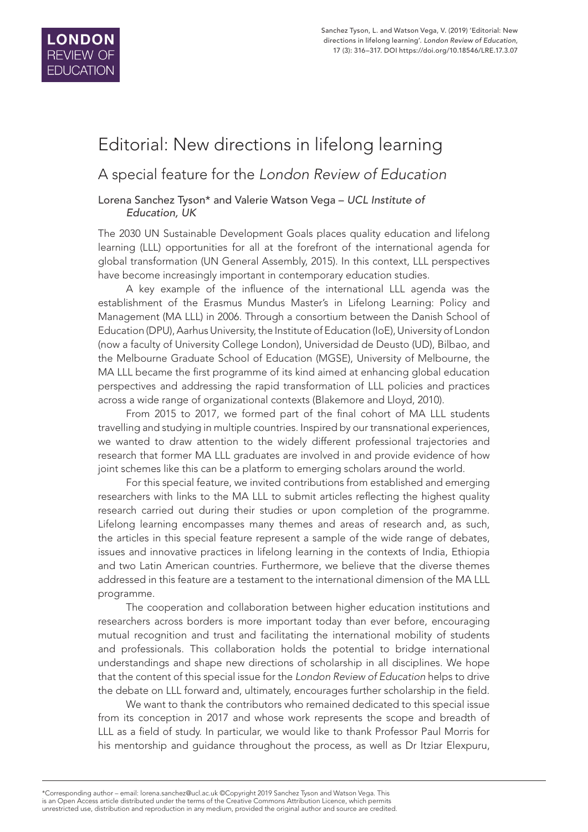

# Editorial: New directions in lifelong learning

# A special feature for the *London Review of Education*

#### Lorena Sanchez Tyson\* and Valerie Watson Vega – *UCL Institute of Education, UK*

The 2030 UN Sustainable Development Goals places quality education and lifelong learning (LLL) opportunities for all at the forefront of the international agenda for global transformation (UN General Assembly, 2015). In this context, LLL perspectives have become increasingly important in contemporary education studies.

A key example of the influence of the international LLL agenda was the establishment of the Erasmus Mundus Master's in Lifelong Learning: Policy and Management (MA LLL) in 2006. Through a consortium between the Danish School of Education (DPU), Aarhus University, the Institute of Education (IoE), University of London (now a faculty of University College London), Universidad de Deusto (UD), Bilbao, and the Melbourne Graduate School of Education (MGSE), University of Melbourne, the MA LLL became the first programme of its kind aimed at enhancing global education perspectives and addressing the rapid transformation of LLL policies and practices across a wide range of organizational contexts (Blakemore and Lloyd, 2010).

From 2015 to 2017, we formed part of the final cohort of MA LLL students travelling and studying in multiple countries. Inspired by our transnational experiences, we wanted to draw attention to the widely different professional trajectories and research that former MA LLL graduates are involved in and provide evidence of how joint schemes like this can be a platform to emerging scholars around the world.

For this special feature, we invited contributions from established and emerging researchers with links to the MA LLL to submit articles reflecting the highest quality research carried out during their studies or upon completion of the programme. Lifelong learning encompasses many themes and areas of research and, as such, the articles in this special feature represent a sample of the wide range of debates, issues and innovative practices in lifelong learning in the contexts of India, Ethiopia and two Latin American countries. Furthermore, we believe that the diverse themes addressed in this feature are a testament to the international dimension of the MA LLL programme.

The cooperation and collaboration between higher education institutions and researchers across borders is more important today than ever before, encouraging mutual recognition and trust and facilitating the international mobility of students and professionals. This collaboration holds the potential to bridge international understandings and shape new directions of scholarship in all disciplines. We hope that the content of this special issue for the *London Review of Education* helps to drive the debate on LLL forward and, ultimately, encourages further scholarship in the field.

We want to thank the contributors who remained dedicated to this special issue from its conception in 2017 and whose work represents the scope and breadth of LLL as a field of study. In particular, we would like to thank Professor Paul Morris for his mentorship and guidance throughout the process, as well as Dr Itziar Elexpuru,